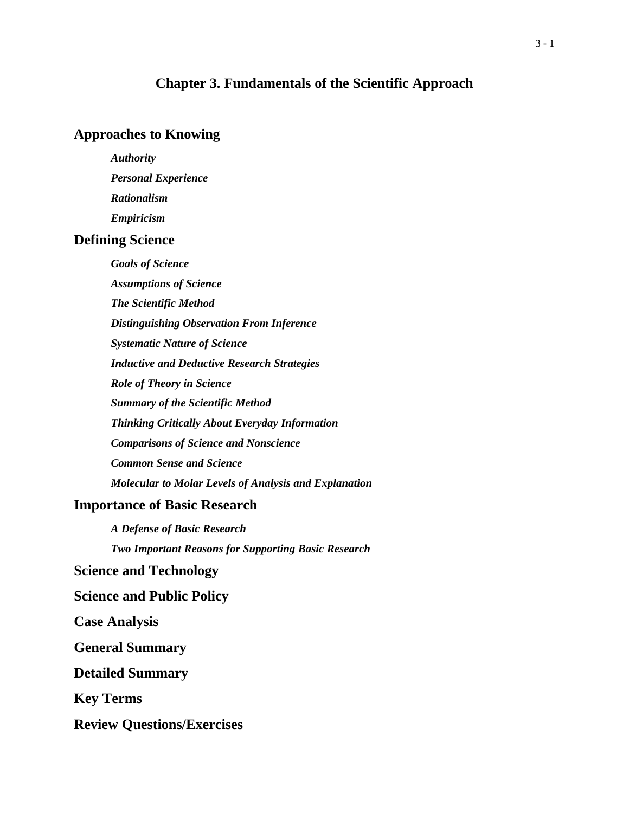# **Chapter 3. Fundamentals of the Scientific Approach**

# **Approaches to Knowing**

*Authority*

*Personal Experience*

*Rationalism*

*Empiricism*

# **Defining Science**

*Goals of Science Assumptions of Science The Scientific Method Distinguishing Observation From Inference Systematic Nature of Science Inductive and Deductive Research Strategies Role of Theory in Science Summary of the Scientific Method Thinking Critically About Everyday Information Comparisons of Science and Nonscience Common Sense and Science Molecular to Molar Levels of Analysis and Explanation*

# **Importance of Basic Research**

*A Defense of Basic Research Two Important Reasons for Supporting Basic Research*

# **Science and Technology**

# **Science and Public Policy**

**Case Analysis**

**General Summary**

**Detailed Summary**

**Key Terms** 

**Review Questions/Exercises**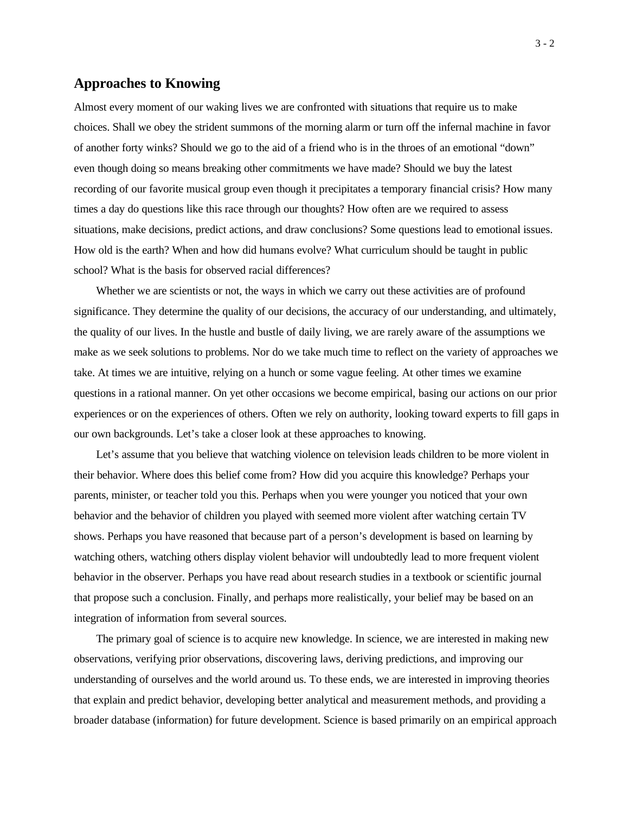# **Approaches to Knowing**

Almost every moment of our waking lives we are confronted with situations that require us to make choices. Shall we obey the strident summons of the morning alarm or turn off the infernal machine in favor of another forty winks? Should we go to the aid of a friend who is in the throes of an emotional "down" even though doing so means breaking other commitments we have made? Should we buy the latest recording of our favorite musical group even though it precipitates a temporary financial crisis? How many times a day do questions like this race through our thoughts? How often are we required to assess situations, make decisions, predict actions, and draw conclusions? Some questions lead to emotional issues. How old is the earth? When and how did humans evolve? What curriculum should be taught in public school? What is the basis for observed racial differences?

Whether we are scientists or not, the ways in which we carry out these activities are of profound significance. They determine the quality of our decisions, the accuracy of our understanding, and ultimately, the quality of our lives. In the hustle and bustle of daily living, we are rarely aware of the assumptions we make as we seek solutions to problems. Nor do we take much time to reflect on the variety of approaches we take. At times we are intuitive, relying on a hunch or some vague feeling. At other times we examine questions in a rational manner. On yet other occasions we become empirical, basing our actions on our prior experiences or on the experiences of others. Often we rely on authority, looking toward experts to fill gaps in our own backgrounds. Let's take a closer look at these approaches to knowing.

Let's assume that you believe that watching violence on television leads children to be more violent in their behavior. Where does this belief come from? How did you acquire this knowledge? Perhaps your parents, minister, or teacher told you this. Perhaps when you were younger you noticed that your own behavior and the behavior of children you played with seemed more violent after watching certain TV shows. Perhaps you have reasoned that because part of a person's development is based on learning by watching others, watching others display violent behavior will undoubtedly lead to more frequent violent behavior in the observer. Perhaps you have read about research studies in a textbook or scientific journal that propose such a conclusion. Finally, and perhaps more realistically, your belief may be based on an integration of information from several sources.

The primary goal of science is to acquire new knowledge. In science, we are interested in making new observations, verifying prior observations, discovering laws, deriving predictions, and improving our understanding of ourselves and the world around us. To these ends, we are interested in improving theories that explain and predict behavior, developing better analytical and measurement methods, and providing a broader database (information) for future development. Science is based primarily on an empirical approach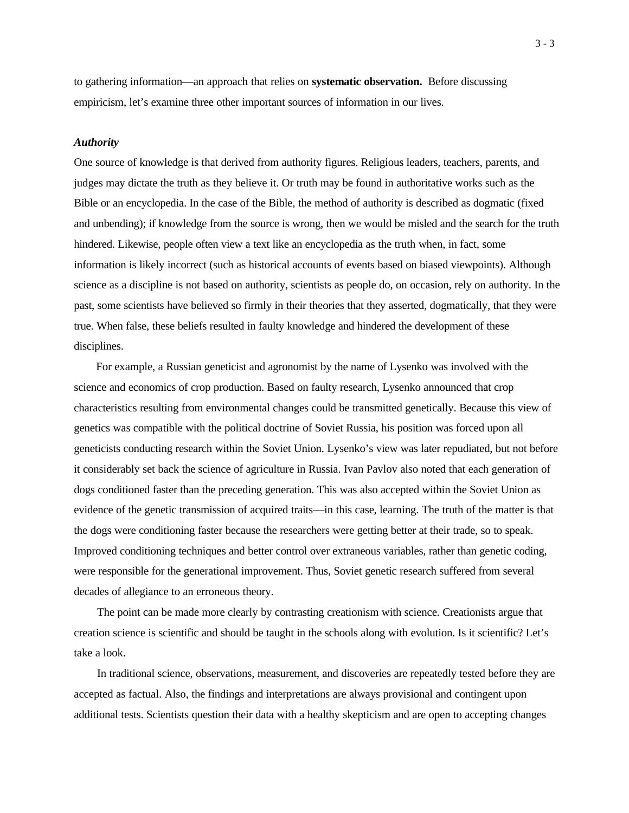to gathering information—an approach that relies on **systematic observation.** Before discussing empiricism, let's examine three other important sources of information in our lives.

### *Authority*

One source of knowledge is that derived from authority figures. Religious leaders, teachers, parents, and judges may dictate the truth as they believe it. Or truth may be found in authoritative works such as the Bible or an encyclopedia. In the case of the Bible, the method of authority is described as dogmatic (fixed and unbending); if knowledge from the source is wrong, then we would be misled and the search for the truth hindered. Likewise, people often view a text like an encyclopedia as the truth when, in fact, some information is likely incorrect (such as historical accounts of events based on biased viewpoints). Although science as a discipline is not based on authority, scientists as people do, on occasion, rely on authority. In the past, some scientists have believed so firmly in their theories that they asserted, dogmatically, that they were true. When false, these beliefs resulted in faulty knowledge and hindered the development of these disciplines.

For example, a Russian geneticist and agronomist by the name of Lysenko was involved with the science and economics of crop production. Based on faulty research, Lysenko announced that crop characteristics resulting from environmental changes could be transmitted genetically. Because this view of genetics was compatible with the political doctrine of Soviet Russia, his position was forced upon all geneticists conducting research within the Soviet Union. Lysenko's view was later repudiated, but not before it considerably set back the science of agriculture in Russia. Ivan Pavlov also noted that each generation of dogs conditioned faster than the preceding generation. This was also accepted within the Soviet Union as evidence of the genetic transmission of acquired traits—in this case, learning. The truth of the matter is that the dogs were conditioning faster because the researchers were getting better at their trade, so to speak. Improved conditioning techniques and better control over extraneous variables, rather than genetic coding, were responsible for the generational improvement. Thus, Soviet genetic research suffered from several decades of allegiance to an erroneous theory.

The point can be made more clearly by contrasting creationism with science. Creationists argue that creation science is scientific and should be taught in the schools along with evolution. Is it scientific? Let's take a look.

In traditional science, observations, measurement, and discoveries are repeatedly tested before they are accepted as factual. Also, the findings and interpretations are always provisional and contingent upon additional tests. Scientists question their data with a healthy skepticism and are open to accepting changes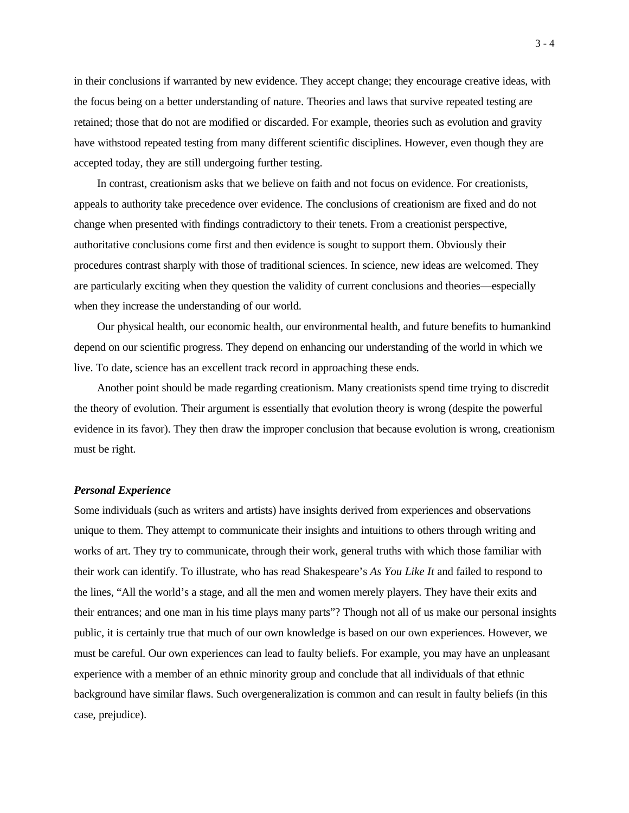in their conclusions if warranted by new evidence. They accept change; they encourage creative ideas, with the focus being on a better understanding of nature. Theories and laws that survive repeated testing are retained; those that do not are modified or discarded. For example, theories such as evolution and gravity have withstood repeated testing from many different scientific disciplines. However, even though they are accepted today, they are still undergoing further testing.

In contrast, creationism asks that we believe on faith and not focus on evidence. For creationists, appeals to authority take precedence over evidence. The conclusions of creationism are fixed and do not change when presented with findings contradictory to their tenets. From a creationist perspective, authoritative conclusions come first and then evidence is sought to support them. Obviously their procedures contrast sharply with those of traditional sciences. In science, new ideas are welcomed. They are particularly exciting when they question the validity of current conclusions and theories—especially when they increase the understanding of our world.

Our physical health, our economic health, our environmental health, and future benefits to humankind depend on our scientific progress. They depend on enhancing our understanding of the world in which we live. To date, science has an excellent track record in approaching these ends.

Another point should be made regarding creationism. Many creationists spend time trying to discredit the theory of evolution. Their argument is essentially that evolution theory is wrong (despite the powerful evidence in its favor). They then draw the improper conclusion that because evolution is wrong, creationism must be right.

## *Personal Experience*

Some individuals (such as writers and artists) have insights derived from experiences and observations unique to them. They attempt to communicate their insights and intuitions to others through writing and works of art. They try to communicate, through their work, general truths with which those familiar with their work can identify. To illustrate, who has read Shakespeare's *As You Like It* and failed to respond to the lines, "All the world's a stage, and all the men and women merely players. They have their exits and their entrances; and one man in his time plays many parts"? Though not all of us make our personal insights public, it is certainly true that much of our own knowledge is based on our own experiences. However, we must be careful. Our own experiences can lead to faulty beliefs. For example, you may have an unpleasant experience with a member of an ethnic minority group and conclude that all individuals of that ethnic background have similar flaws. Such overgeneralization is common and can result in faulty beliefs (in this case, prejudice).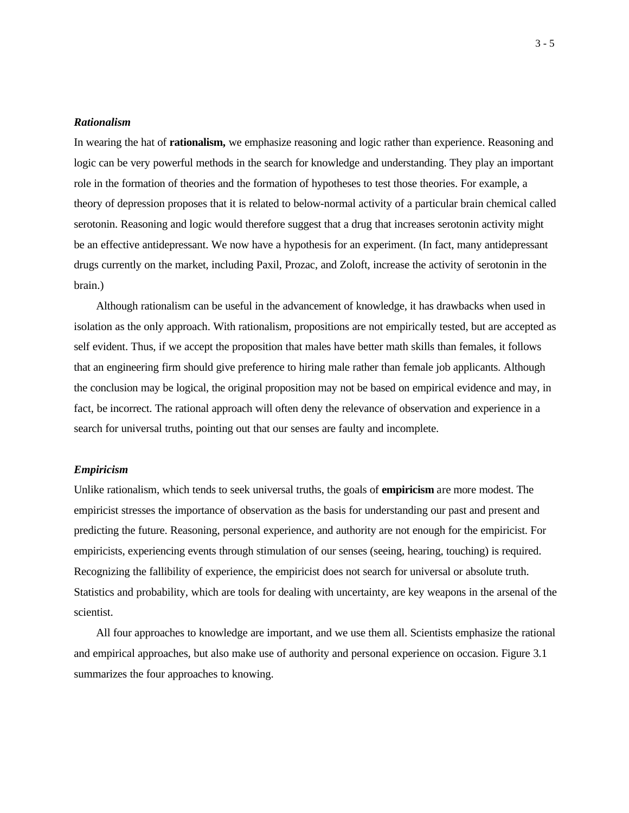### *Rationalism*

In wearing the hat of **rationalism,** we emphasize reasoning and logic rather than experience. Reasoning and logic can be very powerful methods in the search for knowledge and understanding. They play an important role in the formation of theories and the formation of hypotheses to test those theories. For example, a theory of depression proposes that it is related to below-normal activity of a particular brain chemical called serotonin. Reasoning and logic would therefore suggest that a drug that increases serotonin activity might be an effective antidepressant. We now have a hypothesis for an experiment. (In fact, many antidepressant drugs currently on the market, including Paxil, Prozac, and Zoloft, increase the activity of serotonin in the brain.)

Although rationalism can be useful in the advancement of knowledge, it has drawbacks when used in isolation as the only approach. With rationalism, propositions are not empirically tested, but are accepted as self evident. Thus, if we accept the proposition that males have better math skills than females, it follows that an engineering firm should give preference to hiring male rather than female job applicants. Although the conclusion may be logical, the original proposition may not be based on empirical evidence and may, in fact, be incorrect. The rational approach will often deny the relevance of observation and experience in a search for universal truths, pointing out that our senses are faulty and incomplete.

#### *Empiricism*

Unlike rationalism, which tends to seek universal truths, the goals of **empiricism** are more modest. The empiricist stresses the importance of observation as the basis for understanding our past and present and predicting the future. Reasoning, personal experience, and authority are not enough for the empiricist. For empiricists, experiencing events through stimulation of our senses (seeing, hearing, touching) is required. Recognizing the fallibility of experience, the empiricist does not search for universal or absolute truth. Statistics and probability, which are tools for dealing with uncertainty, are key weapons in the arsenal of the scientist.

All four approaches to knowledge are important, and we use them all. Scientists emphasize the rational and empirical approaches, but also make use of authority and personal experience on occasion. Figure 3.1 summarizes the four approaches to knowing.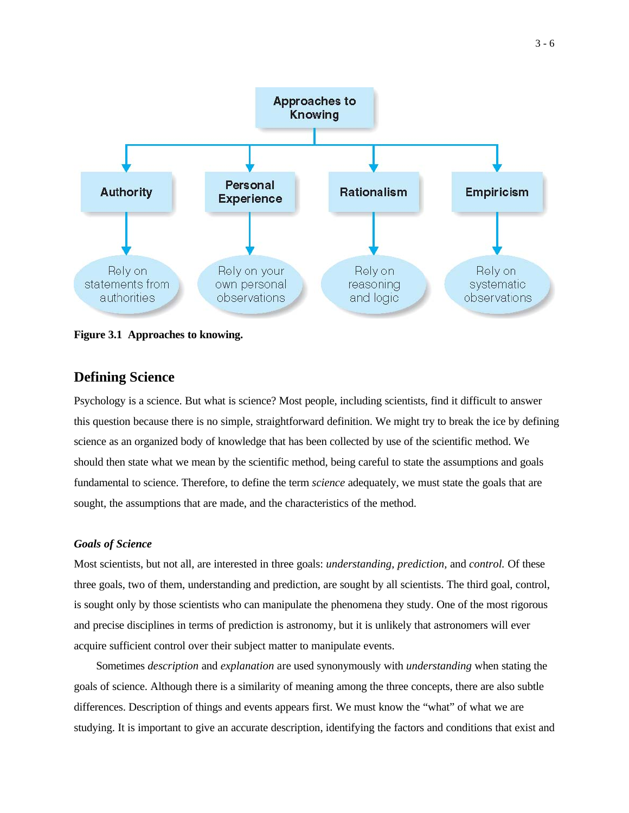

**Figure 3.1 Approaches to knowing.**

# **Defining Science**

Psychology is a science. But what is science? Most people, including scientists, find it difficult to answer this question because there is no simple, straightforward definition. We might try to break the ice by defining science as an organized body of knowledge that has been collected by use of the scientific method. We should then state what we mean by the scientific method, being careful to state the assumptions and goals fundamental to science. Therefore, to define the term *science* adequately, we must state the goals that are sought, the assumptions that are made, and the characteristics of the method.

## *Goals of Science*

Most scientists, but not all, are interested in three goals: *understanding*, *prediction,* and *control.* Of these three goals, two of them, understanding and prediction, are sought by all scientists. The third goal, control, is sought only by those scientists who can manipulate the phenomena they study. One of the most rigorous and precise disciplines in terms of prediction is astronomy, but it is unlikely that astronomers will ever acquire sufficient control over their subject matter to manipulate events.

Sometimes *description* and *explanation* are used synonymously with *understanding* when stating the goals of science. Although there is a similarity of meaning among the three concepts, there are also subtle differences. Description of things and events appears first. We must know the "what" of what we are studying. It is important to give an accurate description, identifying the factors and conditions that exist and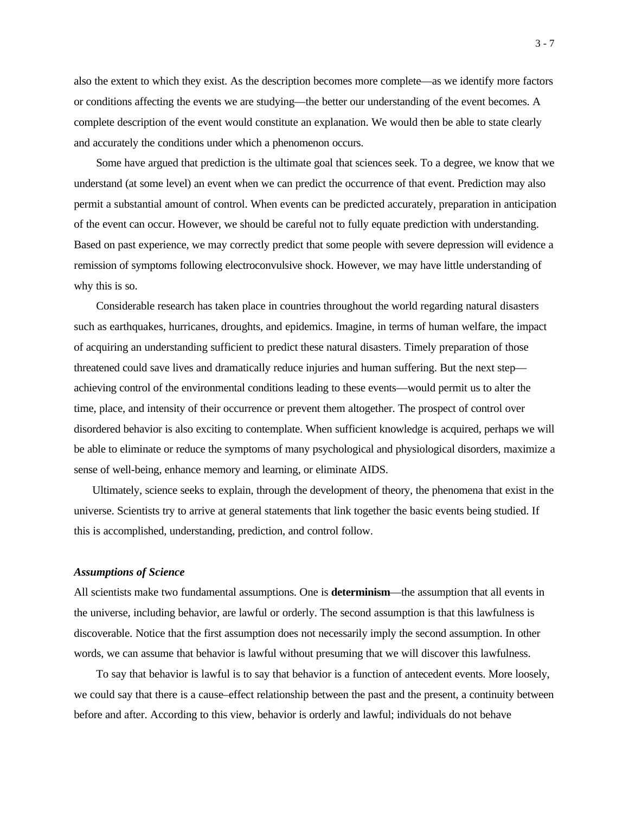also the extent to which they exist. As the description becomes more complete—as we identify more factors or conditions affecting the events we are studying—the better our understanding of the event becomes. A complete description of the event would constitute an explanation. We would then be able to state clearly and accurately the conditions under which a phenomenon occurs.

Some have argued that prediction is the ultimate goal that sciences seek. To a degree, we know that we understand (at some level) an event when we can predict the occurrence of that event. Prediction may also permit a substantial amount of control. When events can be predicted accurately, preparation in anticipation of the event can occur. However, we should be careful not to fully equate prediction with understanding. Based on past experience, we may correctly predict that some people with severe depression will evidence a remission of symptoms following electroconvulsive shock. However, we may have little understanding of why this is so.

Considerable research has taken place in countries throughout the world regarding natural disasters such as earthquakes, hurricanes, droughts, and epidemics. Imagine, in terms of human welfare, the impact of acquiring an understanding sufficient to predict these natural disasters. Timely preparation of those threatened could save lives and dramatically reduce injuries and human suffering. But the next step achieving control of the environmental conditions leading to these events—would permit us to alter the time, place, and intensity of their occurrence or prevent them altogether. The prospect of control over disordered behavior is also exciting to contemplate. When sufficient knowledge is acquired, perhaps we will be able to eliminate or reduce the symptoms of many psychological and physiological disorders, maximize a sense of well-being, enhance memory and learning, or eliminate AIDS.

Ultimately, science seeks to explain, through the development of theory, the phenomena that exist in the universe. Scientists try to arrive at general statements that link together the basic events being studied. If this is accomplished, understanding, prediction, and control follow.

### *Assumptions of Science*

All scientists make two fundamental assumptions. One is **determinism**—the assumption that all events in the universe, including behavior, are lawful or orderly. The second assumption is that this lawfulness is discoverable. Notice that the first assumption does not necessarily imply the second assumption. In other words, we can assume that behavior is lawful without presuming that we will discover this lawfulness.

To say that behavior is lawful is to say that behavior is a function of antecedent events. More loosely, we could say that there is a cause–effect relationship between the past and the present, a continuity between before and after. According to this view, behavior is orderly and lawful; individuals do not behave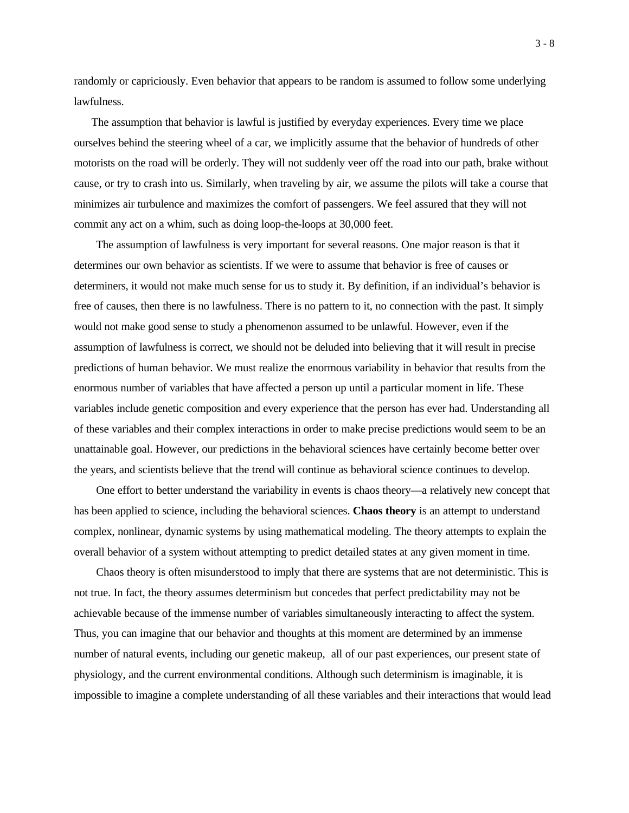randomly or capriciously. Even behavior that appears to be random is assumed to follow some underlying lawfulness.

The assumption that behavior is lawful is justified by everyday experiences. Every time we place ourselves behind the steering wheel of a car, we implicitly assume that the behavior of hundreds of other motorists on the road will be orderly. They will not suddenly veer off the road into our path, brake without cause, or try to crash into us. Similarly, when traveling by air, we assume the pilots will take a course that minimizes air turbulence and maximizes the comfort of passengers. We feel assured that they will not commit any act on a whim, such as doing loop-the-loops at 30,000 feet.

The assumption of lawfulness is very important for several reasons. One major reason is that it determines our own behavior as scientists. If we were to assume that behavior is free of causes or determiners, it would not make much sense for us to study it. By definition, if an individual's behavior is free of causes, then there is no lawfulness. There is no pattern to it, no connection with the past. It simply would not make good sense to study a phenomenon assumed to be unlawful. However, even if the assumption of lawfulness is correct, we should not be deluded into believing that it will result in precise predictions of human behavior. We must realize the enormous variability in behavior that results from the enormous number of variables that have affected a person up until a particular moment in life. These variables include genetic composition and every experience that the person has ever had. Understanding all of these variables and their complex interactions in order to make precise predictions would seem to be an unattainable goal. However, our predictions in the behavioral sciences have certainly become better over the years, and scientists believe that the trend will continue as behavioral science continues to develop.

One effort to better understand the variability in events is chaos theory—a relatively new concept that has been applied to science, including the behavioral sciences. **Chaos theory** is an attempt to understand complex, nonlinear, dynamic systems by using mathematical modeling. The theory attempts to explain the overall behavior of a system without attempting to predict detailed states at any given moment in time.

Chaos theory is often misunderstood to imply that there are systems that are not deterministic. This is not true. In fact, the theory assumes determinism but concedes that perfect predictability may not be achievable because of the immense number of variables simultaneously interacting to affect the system. Thus, you can imagine that our behavior and thoughts at this moment are determined by an immense number of natural events, including our genetic makeup, all of our past experiences, our present state of physiology, and the current environmental conditions. Although such determinism is imaginable, it is impossible to imagine a complete understanding of all these variables and their interactions that would lead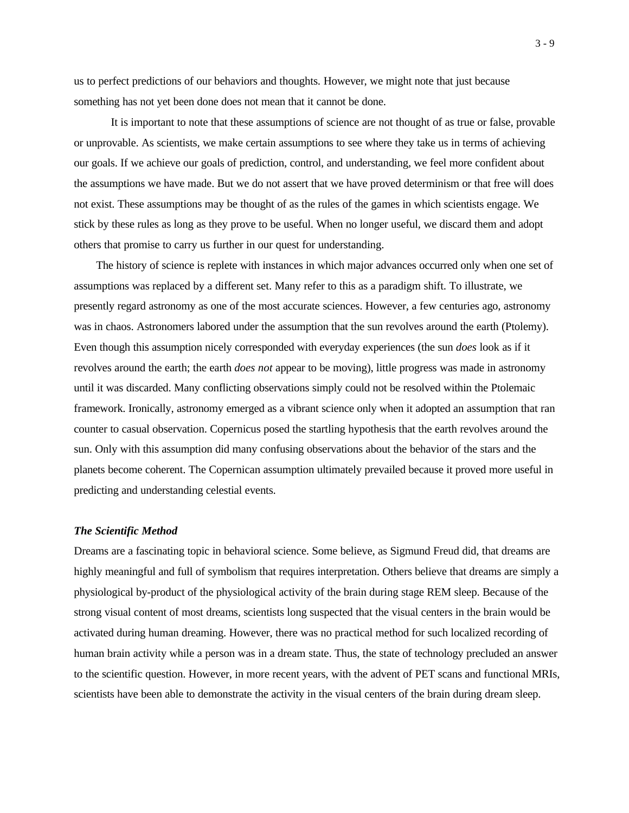us to perfect predictions of our behaviors and thoughts. However, we might note that just because something has not yet been done does not mean that it cannot be done.

It is important to note that these assumptions of science are not thought of as true or false, provable or unprovable. As scientists, we make certain assumptions to see where they take us in terms of achieving our goals. If we achieve our goals of prediction, control, and understanding, we feel more confident about the assumptions we have made. But we do not assert that we have proved determinism or that free will does not exist. These assumptions may be thought of as the rules of the games in which scientists engage. We stick by these rules as long as they prove to be useful. When no longer useful, we discard them and adopt others that promise to carry us further in our quest for understanding.

The history of science is replete with instances in which major advances occurred only when one set of assumptions was replaced by a different set. Many refer to this as a paradigm shift. To illustrate, we presently regard astronomy as one of the most accurate sciences. However, a few centuries ago, astronomy was in chaos. Astronomers labored under the assumption that the sun revolves around the earth (Ptolemy). Even though this assumption nicely corresponded with everyday experiences (the sun *does* look as if it revolves around the earth; the earth *does not* appear to be moving), little progress was made in astronomy until it was discarded. Many conflicting observations simply could not be resolved within the Ptolemaic framework. Ironically, astronomy emerged as a vibrant science only when it adopted an assumption that ran counter to casual observation. Copernicus posed the startling hypothesis that the earth revolves around the sun. Only with this assumption did many confusing observations about the behavior of the stars and the planets become coherent. The Copernican assumption ultimately prevailed because it proved more useful in predicting and understanding celestial events.

## *The Scientific Method*

Dreams are a fascinating topic in behavioral science. Some believe, as Sigmund Freud did, that dreams are highly meaningful and full of symbolism that requires interpretation. Others believe that dreams are simply a physiological by-product of the physiological activity of the brain during stage REM sleep. Because of the strong visual content of most dreams, scientists long suspected that the visual centers in the brain would be activated during human dreaming. However, there was no practical method for such localized recording of human brain activity while a person was in a dream state. Thus, the state of technology precluded an answer to the scientific question. However, in more recent years, with the advent of PET scans and functional MRIs, scientists have been able to demonstrate the activity in the visual centers of the brain during dream sleep.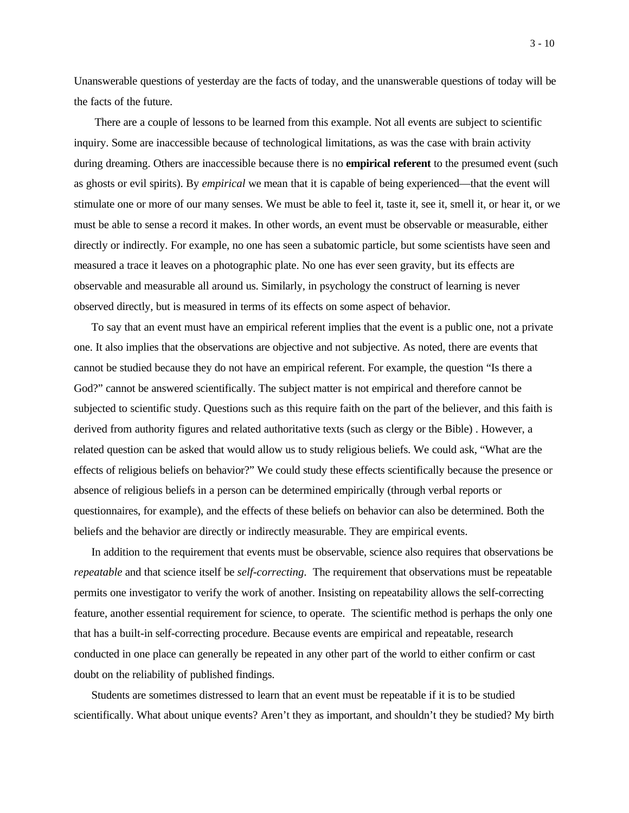Unanswerable questions of yesterday are the facts of today, and the unanswerable questions of today will be the facts of the future.

There are a couple of lessons to be learned from this example. Not all events are subject to scientific inquiry. Some are inaccessible because of technological limitations, as was the case with brain activity during dreaming. Others are inaccessible because there is no **empirical referent** to the presumed event (such as ghosts or evil spirits). By *empirical* we mean that it is capable of being experienced—that the event will stimulate one or more of our many senses. We must be able to feel it, taste it, see it, smell it, or hear it, or we must be able to sense a record it makes. In other words, an event must be observable or measurable, either directly or indirectly. For example, no one has seen a subatomic particle, but some scientists have seen and measured a trace it leaves on a photographic plate. No one has ever seen gravity, but its effects are observable and measurable all around us. Similarly, in psychology the construct of learning is never observed directly, but is measured in terms of its effects on some aspect of behavior.

To say that an event must have an empirical referent implies that the event is a public one, not a private one. It also implies that the observations are objective and not subjective. As noted, there are events that cannot be studied because they do not have an empirical referent. For example, the question "Is there a God?" cannot be answered scientifically. The subject matter is not empirical and therefore cannot be subjected to scientific study. Questions such as this require faith on the part of the believer, and this faith is derived from authority figures and related authoritative texts (such as clergy or the Bible) . However, a related question can be asked that would allow us to study religious beliefs. We could ask, "What are the effects of religious beliefs on behavior?" We could study these effects scientifically because the presence or absence of religious beliefs in a person can be determined empirically (through verbal reports or questionnaires, for example), and the effects of these beliefs on behavior can also be determined. Both the beliefs and the behavior are directly or indirectly measurable. They are empirical events.

In addition to the requirement that events must be observable, science also requires that observations be *repeatable* and that science itself be *self-correcting*. The requirement that observations must be repeatable permits one investigator to verify the work of another. Insisting on repeatability allows the self-correcting feature, another essential requirement for science, to operate. The scientific method is perhaps the only one that has a built-in self-correcting procedure. Because events are empirical and repeatable, research conducted in one place can generally be repeated in any other part of the world to either confirm or cast doubt on the reliability of published findings.

Students are sometimes distressed to learn that an event must be repeatable if it is to be studied scientifically. What about unique events? Aren't they as important, and shouldn't they be studied? My birth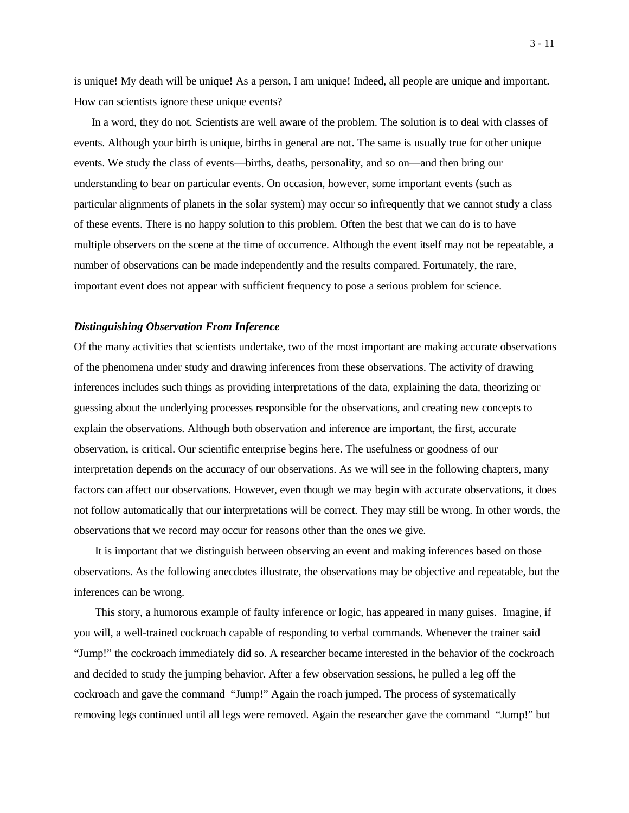is unique! My death will be unique! As a person, I am unique! Indeed, all people are unique and important. How can scientists ignore these unique events?

In a word, they do not*.* Scientists are well aware of the problem. The solution is to deal with classes of events. Although your birth is unique, births in general are not. The same is usually true for other unique events. We study the class of events—births, deaths, personality, and so on—and then bring our understanding to bear on particular events. On occasion, however, some important events (such as particular alignments of planets in the solar system) may occur so infrequently that we cannot study a class of these events. There is no happy solution to this problem. Often the best that we can do is to have multiple observers on the scene at the time of occurrence. Although the event itself may not be repeatable, a number of observations can be made independently and the results compared. Fortunately, the rare, important event does not appear with sufficient frequency to pose a serious problem for science.

### *Distinguishing Observation From Inference*

Of the many activities that scientists undertake, two of the most important are making accurate observations of the phenomena under study and drawing inferences from these observations. The activity of drawing inferences includes such things as providing interpretations of the data, explaining the data, theorizing or guessing about the underlying processes responsible for the observations, and creating new concepts to explain the observations. Although both observation and inference are important, the first, accurate observation, is critical. Our scientific enterprise begins here. The usefulness or goodness of our interpretation depends on the accuracy of our observations. As we will see in the following chapters, many factors can affect our observations. However, even though we may begin with accurate observations, it does not follow automatically that our interpretations will be correct. They may still be wrong. In other words, the observations that we record may occur for reasons other than the ones we give.

It is important that we distinguish between observing an event and making inferences based on those observations. As the following anecdotes illustrate, the observations may be objective and repeatable, but the inferences can be wrong.

This story, a humorous example of faulty inference or logic, has appeared in many guises. Imagine, if you will, a well-trained cockroach capable of responding to verbal commands. Whenever the trainer said "Jump!" the cockroach immediately did so. A researcher became interested in the behavior of the cockroach and decided to study the jumping behavior. After a few observation sessions, he pulled a leg off the cockroach and gave the command "Jump!" Again the roach jumped. The process of systematically removing legs continued until all legs were removed. Again the researcher gave the command "Jump!" but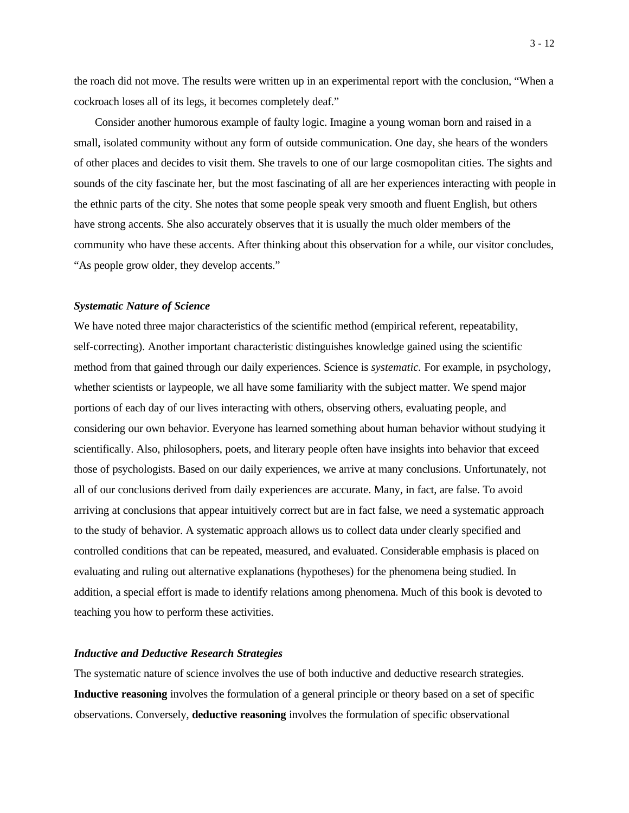the roach did not move. The results were written up in an experimental report with the conclusion, "When a cockroach loses all of its legs, it becomes completely deaf."

Consider another humorous example of faulty logic. Imagine a young woman born and raised in a small, isolated community without any form of outside communication. One day, she hears of the wonders of other places and decides to visit them. She travels to one of our large cosmopolitan cities. The sights and sounds of the city fascinate her, but the most fascinating of all are her experiences interacting with people in the ethnic parts of the city. She notes that some people speak very smooth and fluent English, but others have strong accents. She also accurately observes that it is usually the much older members of the community who have these accents. After thinking about this observation for a while, our visitor concludes, "As people grow older, they develop accents."

## *Systematic Nature of Science*

We have noted three major characteristics of the scientific method (empirical referent, repeatability, self-correcting). Another important characteristic distinguishes knowledge gained using the scientific method from that gained through our daily experiences. Science is *systematic.* For example, in psychology, whether scientists or laypeople, we all have some familiarity with the subject matter. We spend major portions of each day of our lives interacting with others, observing others, evaluating people, and considering our own behavior. Everyone has learned something about human behavior without studying it scientifically. Also, philosophers, poets, and literary people often have insights into behavior that exceed those of psychologists. Based on our daily experiences, we arrive at many conclusions. Unfortunately, not all of our conclusions derived from daily experiences are accurate. Many, in fact, are false. To avoid arriving at conclusions that appear intuitively correct but are in fact false, we need a systematic approach to the study of behavior. A systematic approach allows us to collect data under clearly specified and controlled conditions that can be repeated, measured, and evaluated. Considerable emphasis is placed on evaluating and ruling out alternative explanations (hypotheses) for the phenomena being studied. In addition, a special effort is made to identify relations among phenomena. Much of this book is devoted to teaching you how to perform these activities.

#### *Inductive and Deductive Research Strategies*

The systematic nature of science involves the use of both inductive and deductive research strategies. **Inductive reasoning** involves the formulation of a general principle or theory based on a set of specific observations. Conversely, **deductive reasoning** involves the formulation of specific observational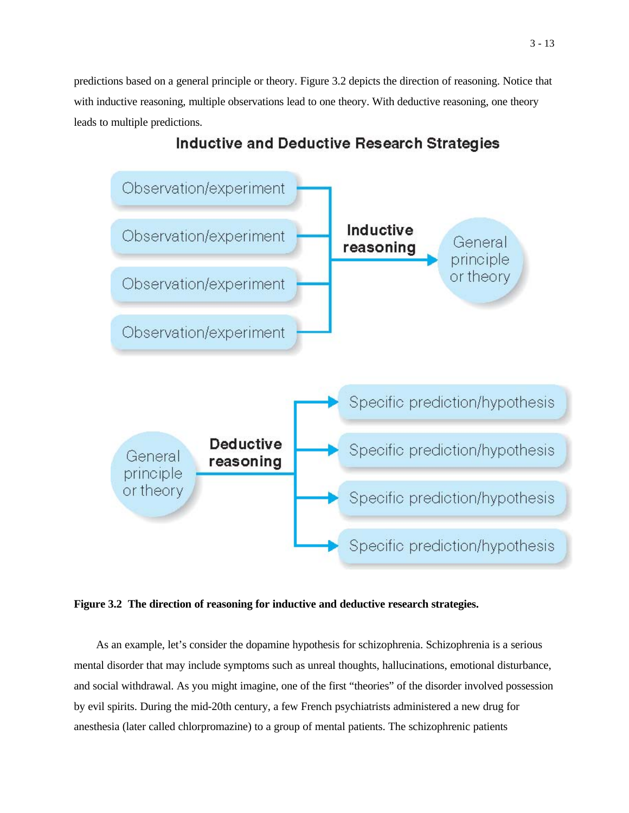predictions based on a general principle or theory. Figure 3.2 depicts the direction of reasoning. Notice that with inductive reasoning, multiple observations lead to one theory. With deductive reasoning, one theory leads to multiple predictions.



# **Inductive and Deductive Research Strategies**

**Figure 3.2 The direction of reasoning for inductive and deductive research strategies.**

As an example, let's consider the dopamine hypothesis for schizophrenia. Schizophrenia is a serious mental disorder that may include symptoms such as unreal thoughts, hallucinations, emotional disturbance, and social withdrawal. As you might imagine, one of the first "theories" of the disorder involved possession by evil spirits. During the mid-20th century, a few French psychiatrists administered a new drug for anesthesia (later called chlorpromazine) to a group of mental patients. The schizophrenic patients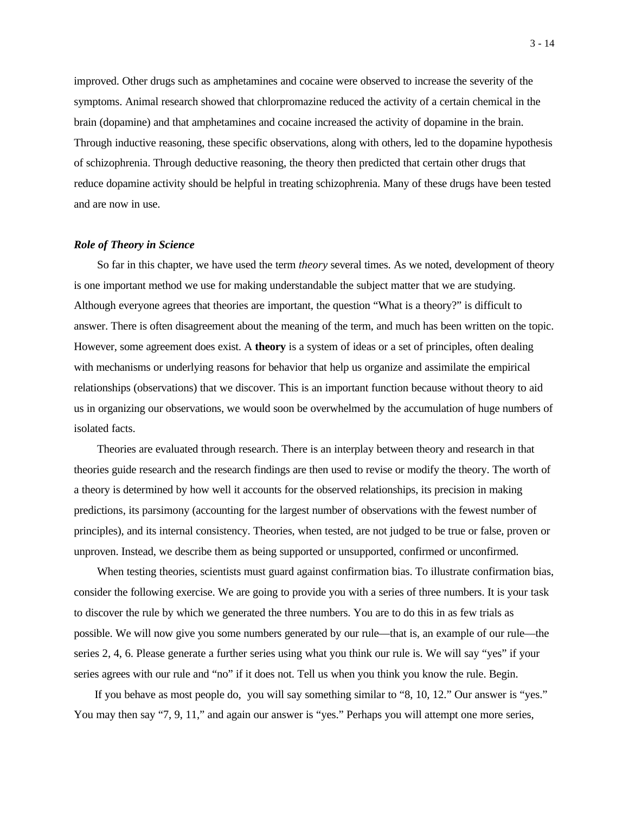improved. Other drugs such as amphetamines and cocaine were observed to increase the severity of the symptoms. Animal research showed that chlorpromazine reduced the activity of a certain chemical in the brain (dopamine) and that amphetamines and cocaine increased the activity of dopamine in the brain. Through inductive reasoning, these specific observations, along with others, led to the dopamine hypothesis of schizophrenia. Through deductive reasoning, the theory then predicted that certain other drugs that reduce dopamine activity should be helpful in treating schizophrenia. Many of these drugs have been tested and are now in use.

### *Role of Theory in Science*

So far in this chapter, we have used the term *theory* several times. As we noted, development of theory is one important method we use for making understandable the subject matter that we are studying. Although everyone agrees that theories are important, the question "What is a theory?" is difficult to answer. There is often disagreement about the meaning of the term, and much has been written on the topic. However, some agreement does exist. A **theory** is a system of ideas or a set of principles, often dealing with mechanisms or underlying reasons for behavior that help us organize and assimilate the empirical relationships (observations) that we discover. This is an important function because without theory to aid us in organizing our observations, we would soon be overwhelmed by the accumulation of huge numbers of isolated facts.

Theories are evaluated through research. There is an interplay between theory and research in that theories guide research and the research findings are then used to revise or modify the theory. The worth of a theory is determined by how well it accounts for the observed relationships, its precision in making predictions, its parsimony (accounting for the largest number of observations with the fewest number of principles), and its internal consistency. Theories, when tested, are not judged to be true or false, proven or unproven. Instead, we describe them as being supported or unsupported, confirmed or unconfirmed.

When testing theories, scientists must guard against confirmation bias. To illustrate confirmation bias, consider the following exercise. We are going to provide you with a series of three numbers. It is your task to discover the rule by which we generated the three numbers. You are to do this in as few trials as possible. We will now give you some numbers generated by our rule—that is, an example of our rule—the series 2, 4, 6. Please generate a further series using what you think our rule is. We will say "yes" if your series agrees with our rule and "no" if it does not. Tell us when you think you know the rule. Begin.

If you behave as most people do, you will say something similar to "8, 10, 12." Our answer is "yes." You may then say "7, 9, 11," and again our answer is "yes." Perhaps you will attempt one more series,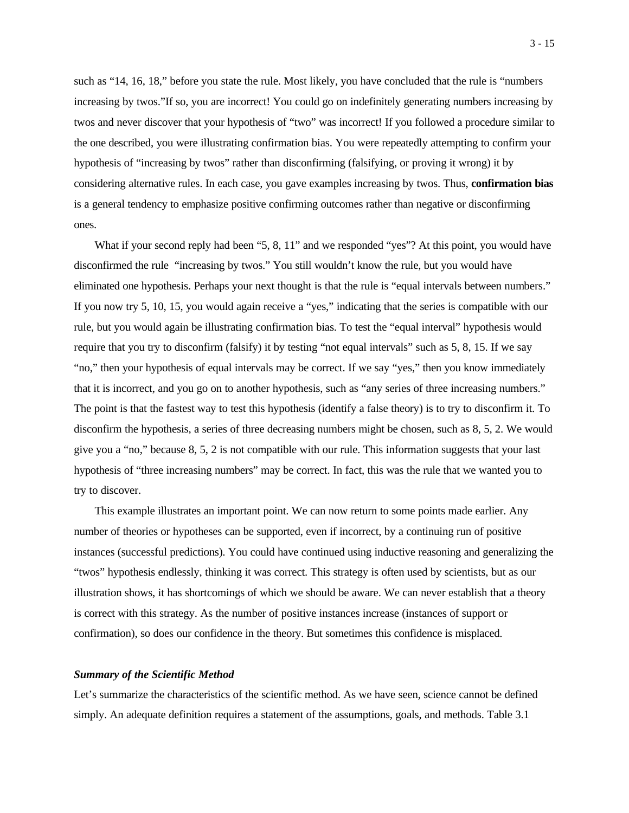such as "14, 16, 18," before you state the rule. Most likely, you have concluded that the rule is "numbers increasing by twos."If so, you are incorrect! You could go on indefinitely generating numbers increasing by twos and never discover that your hypothesis of "two" was incorrect! If you followed a procedure similar to the one described, you were illustrating confirmation bias. You were repeatedly attempting to confirm your hypothesis of "increasing by twos" rather than disconfirming (falsifying, or proving it wrong) it by considering alternative rules. In each case, you gave examples increasing by twos. Thus, **confirmation bias** is a general tendency to emphasize positive confirming outcomes rather than negative or disconfirming ones.

What if your second reply had been "5, 8, 11" and we responded "yes"? At this point, you would have disconfirmed the rule "increasing by twos." You still wouldn't know the rule, but you would have eliminated one hypothesis. Perhaps your next thought is that the rule is "equal intervals between numbers." If you now try 5, 10, 15, you would again receive a "yes," indicating that the series is compatible with our rule, but you would again be illustrating confirmation bias. To test the "equal interval" hypothesis would require that you try to disconfirm (falsify) it by testing "not equal intervals" such as 5, 8, 15. If we say "no," then your hypothesis of equal intervals may be correct. If we say "yes," then you know immediately that it is incorrect, and you go on to another hypothesis, such as "any series of three increasing numbers." The point is that the fastest way to test this hypothesis (identify a false theory) is to try to disconfirm it. To disconfirm the hypothesis, a series of three decreasing numbers might be chosen, such as 8, 5, 2. We would give you a "no," because 8, 5, 2 is not compatible with our rule. This information suggests that your last hypothesis of "three increasing numbers" may be correct. In fact, this was the rule that we wanted you to try to discover.

This example illustrates an important point. We can now return to some points made earlier. Any number of theories or hypotheses can be supported, even if incorrect, by a continuing run of positive instances (successful predictions). You could have continued using inductive reasoning and generalizing the "twos" hypothesis endlessly, thinking it was correct. This strategy is often used by scientists, but as our illustration shows, it has shortcomings of which we should be aware. We can never establish that a theory is correct with this strategy. As the number of positive instances increase (instances of support or confirmation), so does our confidence in the theory. But sometimes this confidence is misplaced.

### *Summary of the Scientific Method*

Let's summarize the characteristics of the scientific method. As we have seen, science cannot be defined simply. An adequate definition requires a statement of the assumptions, goals, and methods. Table 3.1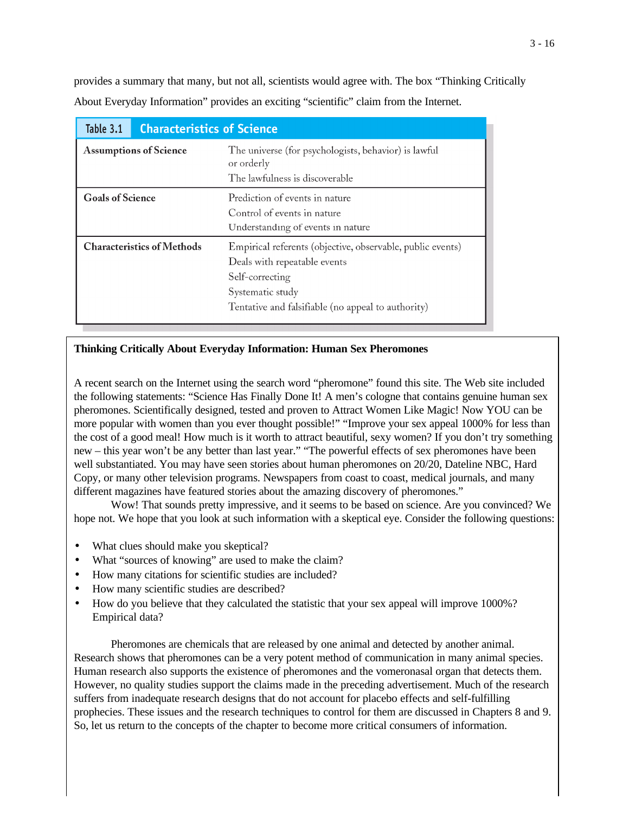provides a summary that many, but not all, scientists would agree with. The box "Thinking Critically About Everyday Information" provides an exciting "scientific" claim from the Internet.

| Table 3.1                         | <b>Characteristics of Science</b> |                                                                                                                                                                                         |
|-----------------------------------|-----------------------------------|-----------------------------------------------------------------------------------------------------------------------------------------------------------------------------------------|
| <b>Assumptions of Science</b>     |                                   | The universe (for psychologists, behavior) is lawful<br>or orderly<br>The lawfulness is discoverable                                                                                    |
| <b>Goals of Science</b>           |                                   | Prediction of events in nature<br>Control of events in nature<br>Understanding of events in nature                                                                                      |
| <b>Characteristics of Methods</b> |                                   | Empirical referents (objective, observable, public events)<br>Deals with repeatable events<br>Self-correcting<br>Systematic study<br>Tentative and falsifiable (no appeal to authority) |

## **Thinking Critically About Everyday Information: Human Sex Pheromones**

A recent search on the Internet using the search word "pheromone" found this site. The Web site included the following statements: "Science Has Finally Done It! A men's cologne that contains genuine human sex pheromones. Scientifically designed, tested and proven to Attract Women Like Magic! Now YOU can be more popular with women than you ever thought possible!" "Improve your sex appeal 1000% for less than the cost of a good meal! How much is it worth to attract beautiful, sexy women? If you don't try something new – this year won't be any better than last year." "The powerful effects of sex pheromones have been well substantiated. You may have seen stories about human pheromones on 20/20, Dateline NBC, Hard Copy, or many other television programs. Newspapers from coast to coast, medical journals, and many different magazines have featured stories about the amazing discovery of pheromones."

Wow! That sounds pretty impressive, and it seems to be based on science. Are you convinced? We hope not. We hope that you look at such information with a skeptical eye. Consider the following questions:

- What clues should make you skeptical?
- What "sources of knowing" are used to make the claim?
- How many citations for scientific studies are included?
- How many scientific studies are described?
- How do you believe that they calculated the statistic that your sex appeal will improve 1000%? Empirical data?

Pheromones are chemicals that are released by one animal and detected by another animal. Research shows that pheromones can be a very potent method of communication in many animal species. Human research also supports the existence of pheromones and the vomeronasal organ that detects them. However, no quality studies support the claims made in the preceding advertisement. Much of the research suffers from inadequate research designs that do not account for placebo effects and self-fulfilling prophecies. These issues and the research techniques to control for them are discussed in Chapters 8 and 9. So, let us return to the concepts of the chapter to become more critical consumers of information.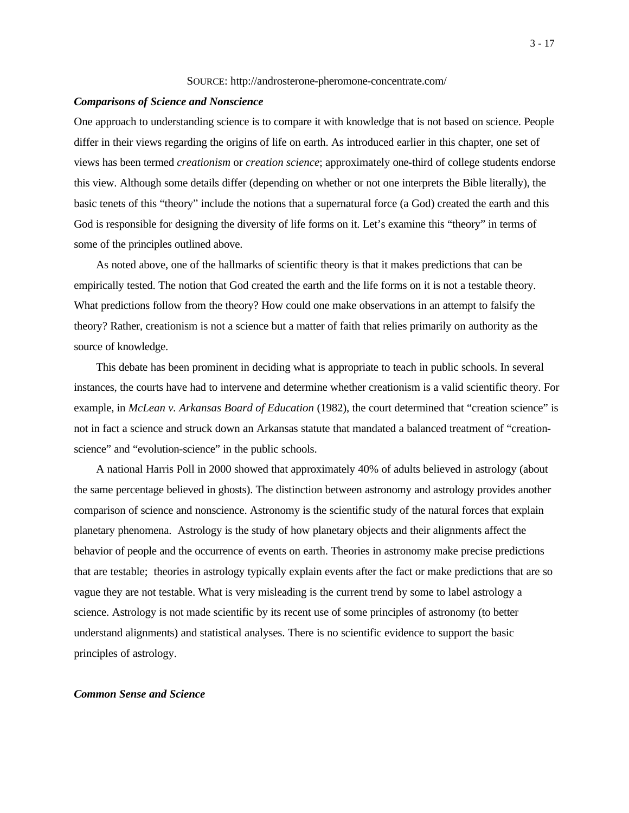#### SOURCE: http://androsterone-pheromone-concentrate.com/

## *Comparisons of Science and Nonscience*

One approach to understanding science is to compare it with knowledge that is not based on science. People differ in their views regarding the origins of life on earth. As introduced earlier in this chapter, one set of views has been termed *creationism* or *creation science*; approximately one-third of college students endorse this view. Although some details differ (depending on whether or not one interprets the Bible literally), the basic tenets of this "theory" include the notions that a supernatural force (a God) created the earth and this God is responsible for designing the diversity of life forms on it. Let's examine this "theory" in terms of some of the principles outlined above.

As noted above, one of the hallmarks of scientific theory is that it makes predictions that can be empirically tested. The notion that God created the earth and the life forms on it is not a testable theory. What predictions follow from the theory? How could one make observations in an attempt to falsify the theory? Rather, creationism is not a science but a matter of faith that relies primarily on authority as the source of knowledge.

This debate has been prominent in deciding what is appropriate to teach in public schools. In several instances, the courts have had to intervene and determine whether creationism is a valid scientific theory. For example, in *McLean v. Arkansas Board of Education* (1982), the court determined that "creation science" is not in fact a science and struck down an Arkansas statute that mandated a balanced treatment of "creationscience" and "evolution-science" in the public schools.

A national Harris Poll in 2000 showed that approximately 40% of adults believed in astrology (about the same percentage believed in ghosts). The distinction between astronomy and astrology provides another comparison of science and nonscience. Astronomy is the scientific study of the natural forces that explain planetary phenomena. Astrology is the study of how planetary objects and their alignments affect the behavior of people and the occurrence of events on earth. Theories in astronomy make precise predictions that are testable; theories in astrology typically explain events after the fact or make predictions that are so vague they are not testable. What is very misleading is the current trend by some to label astrology a science. Astrology is not made scientific by its recent use of some principles of astronomy (to better understand alignments) and statistical analyses. There is no scientific evidence to support the basic principles of astrology.

## *Common Sense and Science*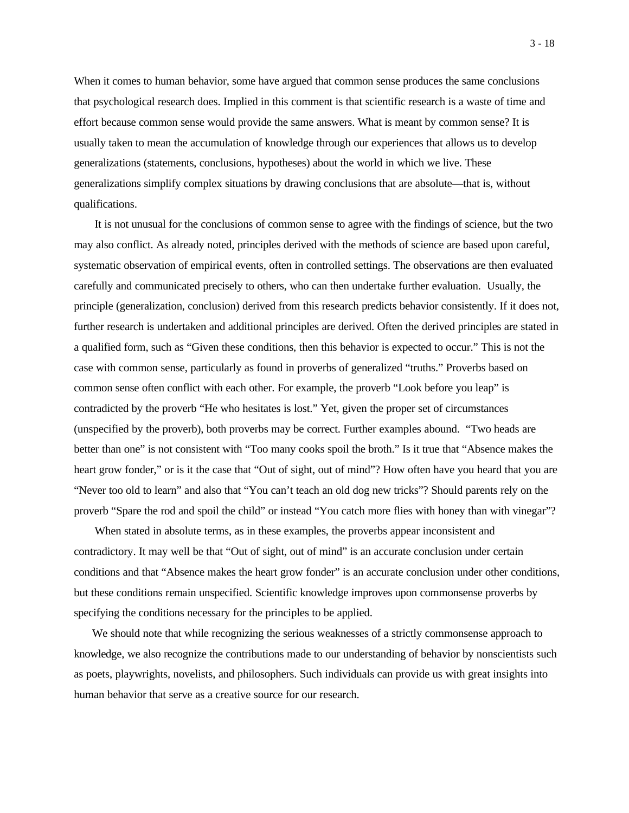When it comes to human behavior, some have argued that common sense produces the same conclusions that psychological research does. Implied in this comment is that scientific research is a waste of time and effort because common sense would provide the same answers. What is meant by common sense? It is usually taken to mean the accumulation of knowledge through our experiences that allows us to develop generalizations (statements, conclusions, hypotheses) about the world in which we live. These generalizations simplify complex situations by drawing conclusions that are absolute—that is, without qualifications.

It is not unusual for the conclusions of common sense to agree with the findings of science, but the two may also conflict. As already noted, principles derived with the methods of science are based upon careful, systematic observation of empirical events, often in controlled settings. The observations are then evaluated carefully and communicated precisely to others, who can then undertake further evaluation. Usually, the principle (generalization, conclusion) derived from this research predicts behavior consistently. If it does not, further research is undertaken and additional principles are derived. Often the derived principles are stated in a qualified form, such as "Given these conditions, then this behavior is expected to occur." This is not the case with common sense, particularly as found in proverbs of generalized "truths." Proverbs based on common sense often conflict with each other. For example, the proverb "Look before you leap" is contradicted by the proverb "He who hesitates is lost." Yet, given the proper set of circumstances (unspecified by the proverb), both proverbs may be correct. Further examples abound. "Two heads are better than one" is not consistent with "Too many cooks spoil the broth." Is it true that "Absence makes the heart grow fonder," or is it the case that "Out of sight, out of mind"? How often have you heard that you are "Never too old to learn" and also that "You can't teach an old dog new tricks"? Should parents rely on the proverb "Spare the rod and spoil the child" or instead "You catch more flies with honey than with vinegar"?

When stated in absolute terms, as in these examples, the proverbs appear inconsistent and contradictory. It may well be that "Out of sight, out of mind" is an accurate conclusion under certain conditions and that "Absence makes the heart grow fonder" is an accurate conclusion under other conditions, but these conditions remain unspecified. Scientific knowledge improves upon commonsense proverbs by specifying the conditions necessary for the principles to be applied.

We should note that while recognizing the serious weaknesses of a strictly commonsense approach to knowledge, we also recognize the contributions made to our understanding of behavior by nonscientists such as poets, playwrights, novelists, and philosophers. Such individuals can provide us with great insights into human behavior that serve as a creative source for our research.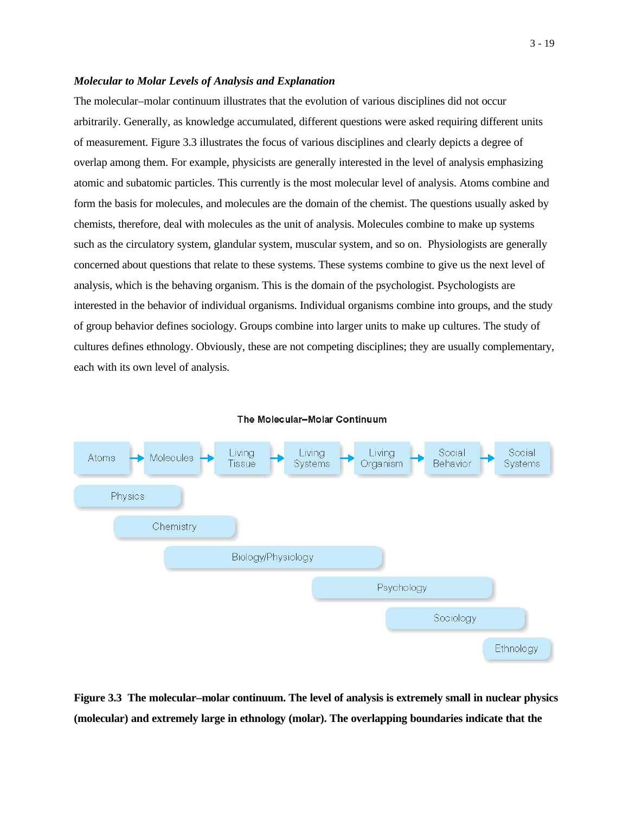#### *Molecular to Molar Levels of Analysis and Explanation*

The molecular–molar continuum illustrates that the evolution of various disciplines did not occur arbitrarily. Generally, as knowledge accumulated, different questions were asked requiring different units of measurement. Figure 3.3 illustrates the focus of various disciplines and clearly depicts a degree of overlap among them. For example, physicists are generally interested in the level of analysis emphasizing atomic and subatomic particles. This currently is the most molecular level of analysis. Atoms combine and form the basis for molecules, and molecules are the domain of the chemist. The questions usually asked by chemists, therefore, deal with molecules as the unit of analysis. Molecules combine to make up systems such as the circulatory system, glandular system, muscular system, and so on. Physiologists are generally concerned about questions that relate to these systems. These systems combine to give us the next level of analysis, which is the behaving organism. This is the domain of the psychologist. Psychologists are interested in the behavior of individual organisms. Individual organisms combine into groups, and the study of group behavior defines sociology. Groups combine into larger units to make up cultures. The study of cultures defines ethnology. Obviously, these are not competing disciplines; they are usually complementary, each with its own level of analysis.



#### The Molecular-Molar Continuum

**Figure 3.3 The molecular–molar continuum. The level of analysis is extremely small in nuclear physics (molecular) and extremely large in ethnology (molar). The overlapping boundaries indicate that the**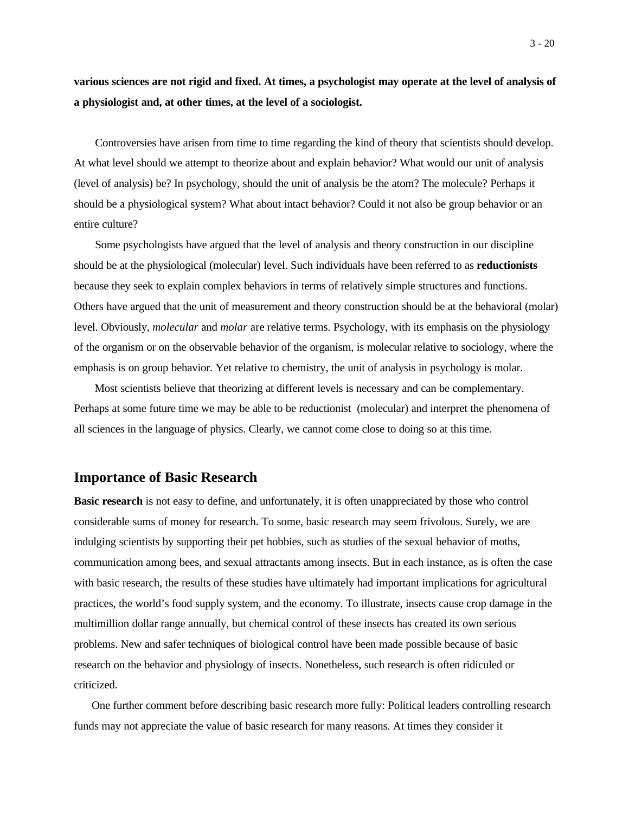**various sciences are not rigid and fixed. At times, a psychologist may operate at the level of analysis of a physiologist and, at other times, at the level of a sociologist.**

Controversies have arisen from time to time regarding the kind of theory that scientists should develop. At what level should we attempt to theorize about and explain behavior? What would our unit of analysis (level of analysis) be? In psychology, should the unit of analysis be the atom? The molecule? Perhaps it should be a physiological system? What about intact behavior? Could it not also be group behavior or an entire culture?

Some psychologists have argued that the level of analysis and theory construction in our discipline should be at the physiological (molecular) level. Such individuals have been referred to as **reductionists**  because they seek to explain complex behaviors in terms of relatively simple structures and functions. Others have argued that the unit of measurement and theory construction should be at the behavioral (molar) level. Obviously, *molecular* and *molar* are relative terms. Psychology, with its emphasis on the physiology of the organism or on the observable behavior of the organism, is molecular relative to sociology, where the emphasis is on group behavior. Yet relative to chemistry, the unit of analysis in psychology is molar.

Most scientists believe that theorizing at different levels is necessary and can be complementary. Perhaps at some future time we may be able to be reductionist (molecular) and interpret the phenomena of all sciences in the language of physics. Clearly, we cannot come close to doing so at this time.

## **Importance of Basic Research**

**Basic research** is not easy to define, and unfortunately, it is often unappreciated by those who control considerable sums of money for research. To some, basic research may seem frivolous. Surely, we are indulging scientists by supporting their pet hobbies, such as studies of the sexual behavior of moths, communication among bees, and sexual attractants among insects. But in each instance, as is often the case with basic research, the results of these studies have ultimately had important implications for agricultural practices, the world's food supply system, and the economy. To illustrate, insects cause crop damage in the multimillion dollar range annually, but chemical control of these insects has created its own serious problems. New and safer techniques of biological control have been made possible because of basic research on the behavior and physiology of insects. Nonetheless, such research is often ridiculed or criticized.

One further comment before describing basic research more fully: Political leaders controlling research funds may not appreciate the value of basic research for many reasons. At times they consider it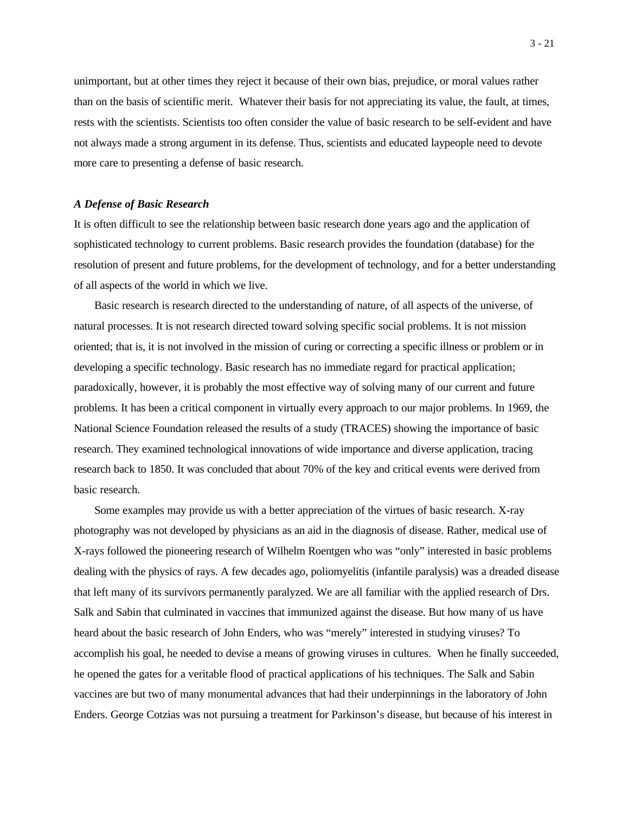unimportant, but at other times they reject it because of their own bias, prejudice, or moral values rather than on the basis of scientific merit. Whatever their basis for not appreciating its value, the fault, at times, rests with the scientists. Scientists too often consider the value of basic research to be self-evident and have not always made a strong argument in its defense. Thus, scientists and educated laypeople need to devote more care to presenting a defense of basic research.

## *A Defense of Basic Research*

It is often difficult to see the relationship between basic research done years ago and the application of sophisticated technology to current problems. Basic research provides the foundation (database) for the resolution of present and future problems, for the development of technology, and for a better understanding of all aspects of the world in which we live.

Basic research is research directed to the understanding of nature, of all aspects of the universe, of natural processes. It is not research directed toward solving specific social problems. It is not mission oriented; that is, it is not involved in the mission of curing or correcting a specific illness or problem or in developing a specific technology. Basic research has no immediate regard for practical application; paradoxically, however, it is probably the most effective way of solving many of our current and future problems. It has been a critical component in virtually every approach to our major problems. In 1969, the National Science Foundation released the results of a study (TRACES) showing the importance of basic research. They examined technological innovations of wide importance and diverse application, tracing research back to 1850. It was concluded that about 70% of the key and critical events were derived from basic research.

Some examples may provide us with a better appreciation of the virtues of basic research. X-ray photography was not developed by physicians as an aid in the diagnosis of disease. Rather, medical use of X-rays followed the pioneering research of Wilhelm Roentgen who was "only" interested in basic problems dealing with the physics of rays. A few decades ago, poliomyelitis (infantile paralysis) was a dreaded disease that left many of its survivors permanently paralyzed. We are all familiar with the applied research of Drs. Salk and Sabin that culminated in vaccines that immunized against the disease. But how many of us have heard about the basic research of John Enders, who was "merely" interested in studying viruses? To accomplish his goal, he needed to devise a means of growing viruses in cultures. When he finally succeeded, he opened the gates for a veritable flood of practical applications of his techniques. The Salk and Sabin vaccines are but two of many monumental advances that had their underpinnings in the laboratory of John Enders. George Cotzias was not pursuing a treatment for Parkinson's disease, but because of his interest in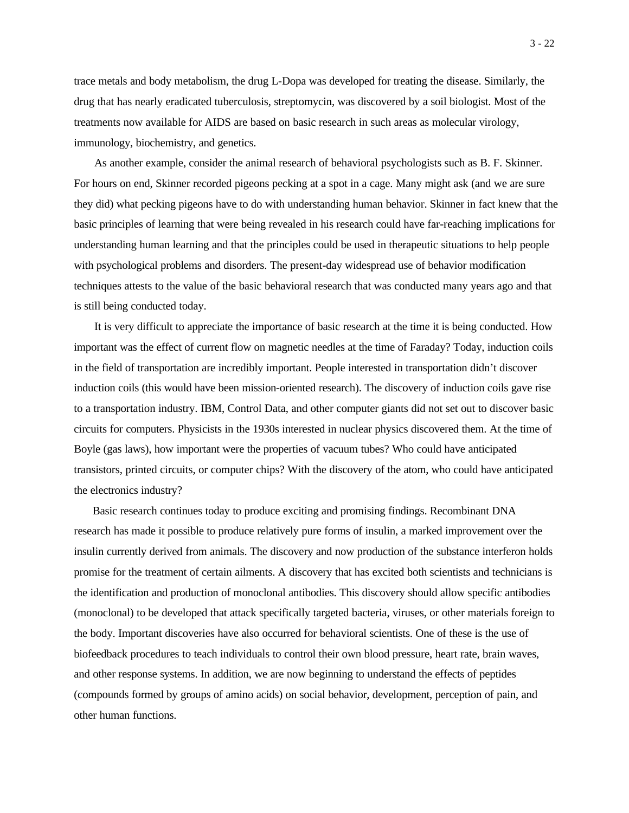trace metals and body metabolism, the drug L-Dopa was developed for treating the disease. Similarly, the drug that has nearly eradicated tuberculosis, streptomycin, was discovered by a soil biologist. Most of the treatments now available for AIDS are based on basic research in such areas as molecular virology, immunology, biochemistry, and genetics.

As another example, consider the animal research of behavioral psychologists such as B. F. Skinner. For hours on end, Skinner recorded pigeons pecking at a spot in a cage. Many might ask (and we are sure they did) what pecking pigeons have to do with understanding human behavior. Skinner in fact knew that the basic principles of learning that were being revealed in his research could have far-reaching implications for understanding human learning and that the principles could be used in therapeutic situations to help people with psychological problems and disorders. The present-day widespread use of behavior modification techniques attests to the value of the basic behavioral research that was conducted many years ago and that is still being conducted today.

It is very difficult to appreciate the importance of basic research at the time it is being conducted. How important was the effect of current flow on magnetic needles at the time of Faraday? Today, induction coils in the field of transportation are incredibly important. People interested in transportation didn't discover induction coils (this would have been mission-oriented research). The discovery of induction coils gave rise to a transportation industry. IBM, Control Data, and other computer giants did not set out to discover basic circuits for computers. Physicists in the 1930s interested in nuclear physics discovered them. At the time of Boyle (gas laws), how important were the properties of vacuum tubes? Who could have anticipated transistors, printed circuits, or computer chips? With the discovery of the atom, who could have anticipated the electronics industry?

Basic research continues today to produce exciting and promising findings. Recombinant DNA research has made it possible to produce relatively pure forms of insulin, a marked improvement over the insulin currently derived from animals. The discovery and now production of the substance interferon holds promise for the treatment of certain ailments. A discovery that has excited both scientists and technicians is the identification and production of monoclonal antibodies. This discovery should allow specific antibodies (monoclonal) to be developed that attack specifically targeted bacteria, viruses, or other materials foreign to the body. Important discoveries have also occurred for behavioral scientists. One of these is the use of biofeedback procedures to teach individuals to control their own blood pressure, heart rate, brain waves, and other response systems. In addition, we are now beginning to understand the effects of peptides (compounds formed by groups of amino acids) on social behavior, development, perception of pain, and other human functions.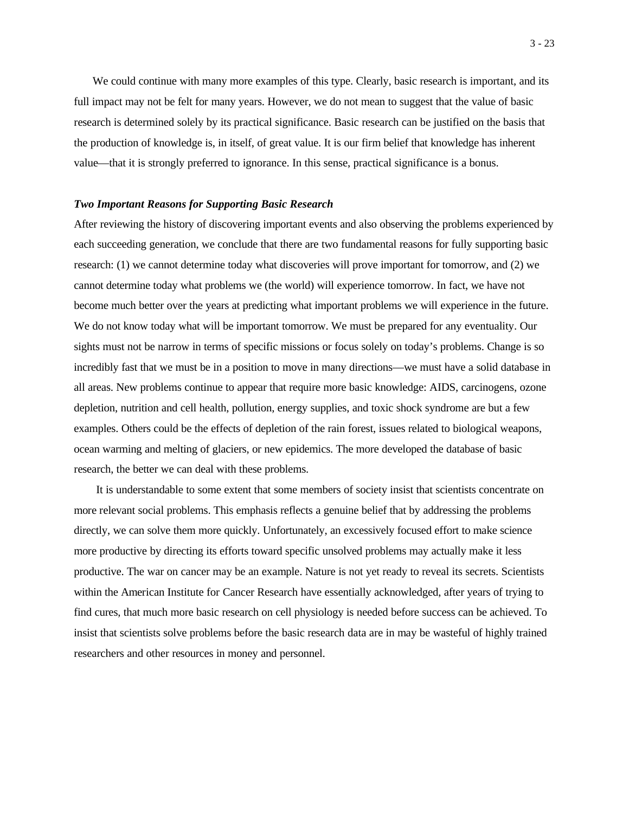We could continue with many more examples of this type. Clearly, basic research is important, and its full impact may not be felt for many years. However, we do not mean to suggest that the value of basic research is determined solely by its practical significance. Basic research can be justified on the basis that the production of knowledge is, in itself, of great value. It is our firm belief that knowledge has inherent value—that it is strongly preferred to ignorance. In this sense, practical significance is a bonus.

## *Two Important Reasons for Supporting Basic Research*

After reviewing the history of discovering important events and also observing the problems experienced by each succeeding generation, we conclude that there are two fundamental reasons for fully supporting basic research: (1) we cannot determine today what discoveries will prove important for tomorrow, and (2) we cannot determine today what problems we (the world) will experience tomorrow. In fact, we have not become much better over the years at predicting what important problems we will experience in the future. We do not know today what will be important tomorrow. We must be prepared for any eventuality. Our sights must not be narrow in terms of specific missions or focus solely on today's problems. Change is so incredibly fast that we must be in a position to move in many directions—we must have a solid database in all areas. New problems continue to appear that require more basic knowledge: AIDS, carcinogens, ozone depletion, nutrition and cell health, pollution, energy supplies, and toxic shock syndrome are but a few examples. Others could be the effects of depletion of the rain forest, issues related to biological weapons, ocean warming and melting of glaciers, or new epidemics. The more developed the database of basic research, the better we can deal with these problems.

It is understandable to some extent that some members of society insist that scientists concentrate on more relevant social problems. This emphasis reflects a genuine belief that by addressing the problems directly, we can solve them more quickly. Unfortunately, an excessively focused effort to make science more productive by directing its efforts toward specific unsolved problems may actually make it less productive. The war on cancer may be an example. Nature is not yet ready to reveal its secrets. Scientists within the American Institute for Cancer Research have essentially acknowledged, after years of trying to find cures, that much more basic research on cell physiology is needed before success can be achieved. To insist that scientists solve problems before the basic research data are in may be wasteful of highly trained researchers and other resources in money and personnel.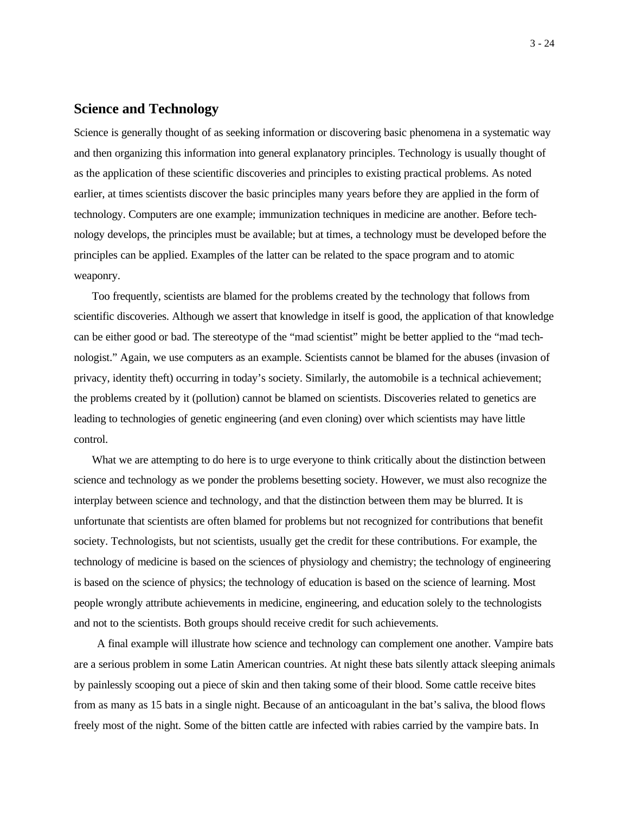# **Science and Technology**

Science is generally thought of as seeking information or discovering basic phenomena in a systematic way and then organizing this information into general explanatory principles. Technology is usually thought of as the application of these scientific discoveries and principles to existing practical problems. As noted earlier, at times scientists discover the basic principles many years before they are applied in the form of technology. Computers are one example; immunization techniques in medicine are another. Before technology develops, the principles must be available; but at times, a technology must be developed before the principles can be applied. Examples of the latter can be related to the space program and to atomic weaponry.

Too frequently, scientists are blamed for the problems created by the technology that follows from scientific discoveries. Although we assert that knowledge in itself is good, the application of that knowledge can be either good or bad. The stereotype of the "mad scientist" might be better applied to the "mad technologist." Again, we use computers as an example. Scientists cannot be blamed for the abuses (invasion of privacy, identity theft) occurring in today's society. Similarly, the automobile is a technical achievement; the problems created by it (pollution) cannot be blamed on scientists. Discoveries related to genetics are leading to technologies of genetic engineering (and even cloning) over which scientists may have little control.

What we are attempting to do here is to urge everyone to think critically about the distinction between science and technology as we ponder the problems besetting society. However, we must also recognize the interplay between science and technology, and that the distinction between them may be blurred. It is unfortunate that scientists are often blamed for problems but not recognized for contributions that benefit society. Technologists, but not scientists, usually get the credit for these contributions. For example, the technology of medicine is based on the sciences of physiology and chemistry; the technology of engineering is based on the science of physics; the technology of education is based on the science of learning. Most people wrongly attribute achievements in medicine, engineering, and education solely to the technologists and not to the scientists. Both groups should receive credit for such achievements.

A final example will illustrate how science and technology can complement one another. Vampire bats are a serious problem in some Latin American countries. At night these bats silently attack sleeping animals by painlessly scooping out a piece of skin and then taking some of their blood. Some cattle receive bites from as many as 15 bats in a single night. Because of an anticoagulant in the bat's saliva, the blood flows freely most of the night. Some of the bitten cattle are infected with rabies carried by the vampire bats. In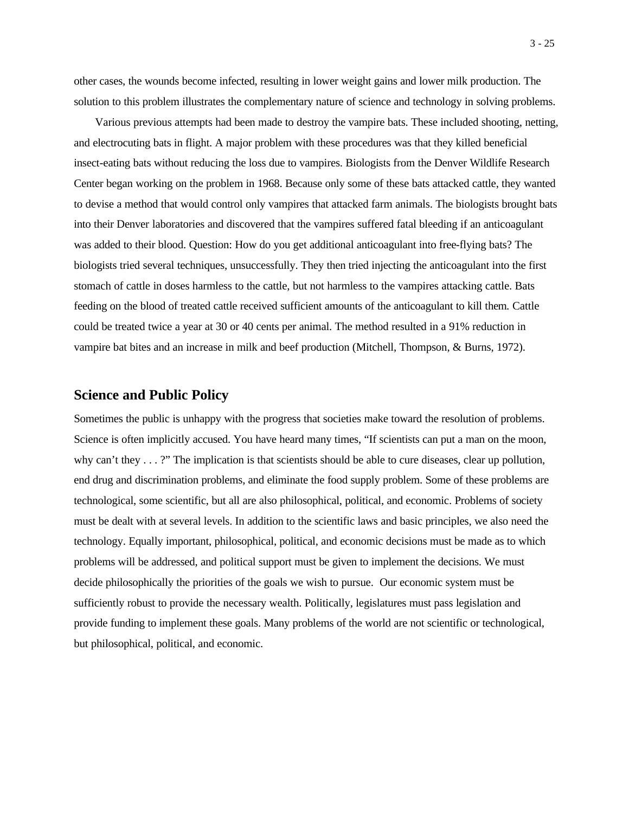other cases, the wounds become infected, resulting in lower weight gains and lower milk production. The solution to this problem illustrates the complementary nature of science and technology in solving problems.

Various previous attempts had been made to destroy the vampire bats. These included shooting, netting, and electrocuting bats in flight. A major problem with these procedures was that they killed beneficial insect-eating bats without reducing the loss due to vampires. Biologists from the Denver Wildlife Research Center began working on the problem in 1968. Because only some of these bats attacked cattle, they wanted to devise a method that would control only vampires that attacked farm animals. The biologists brought bats into their Denver laboratories and discovered that the vampires suffered fatal bleeding if an anticoagulant was added to their blood. Question: How do you get additional anticoagulant into free-flying bats? The biologists tried several techniques, unsuccessfully. They then tried injecting the anticoagulant into the first stomach of cattle in doses harmless to the cattle, but not harmless to the vampires attacking cattle. Bats feeding on the blood of treated cattle received sufficient amounts of the anticoagulant to kill them. Cattle could be treated twice a year at 30 or 40 cents per animal. The method resulted in a 91% reduction in vampire bat bites and an increase in milk and beef production (Mitchell, Thompson, & Burns, 1972).

# **Science and Public Policy**

Sometimes the public is unhappy with the progress that societies make toward the resolution of problems. Science is often implicitly accused. You have heard many times, "If scientists can put a man on the moon, why can't they . . . ?" The implication is that scientists should be able to cure diseases, clear up pollution, end drug and discrimination problems, and eliminate the food supply problem. Some of these problems are technological, some scientific, but all are also philosophical, political, and economic. Problems of society must be dealt with at several levels. In addition to the scientific laws and basic principles, we also need the technology. Equally important, philosophical, political, and economic decisions must be made as to which problems will be addressed, and political support must be given to implement the decisions. We must decide philosophically the priorities of the goals we wish to pursue. Our economic system must be sufficiently robust to provide the necessary wealth. Politically, legislatures must pass legislation and provide funding to implement these goals. Many problems of the world are not scientific or technological, but philosophical, political, and economic.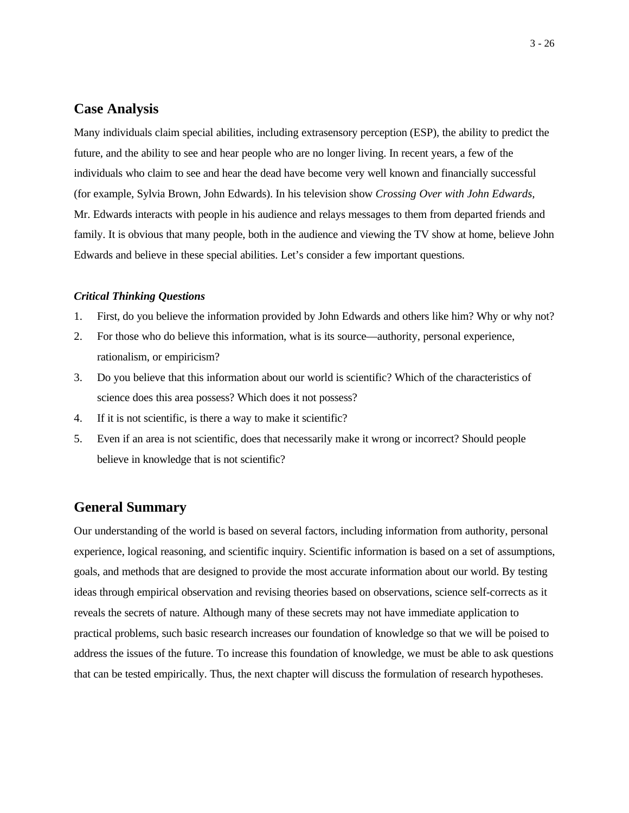# **Case Analysis**

Many individuals claim special abilities, including extrasensory perception (ESP), the ability to predict the future, and the ability to see and hear people who are no longer living. In recent years, a few of the individuals who claim to see and hear the dead have become very well known and financially successful (for example, Sylvia Brown, John Edwards). In his television show *Crossing Over with John Edwards,* Mr. Edwards interacts with people in his audience and relays messages to them from departed friends and family. It is obvious that many people, both in the audience and viewing the TV show at home, believe John Edwards and believe in these special abilities. Let's consider a few important questions.

## *Critical Thinking Questions*

- 1. First, do you believe the information provided by John Edwards and others like him? Why or why not?
- 2. For those who do believe this information, what is its source—authority, personal experience, rationalism, or empiricism?
- 3. Do you believe that this information about our world is scientific? Which of the characteristics of science does this area possess? Which does it not possess?
- 4. If it is not scientific, is there a way to make it scientific?
- 5. Even if an area is not scientific, does that necessarily make it wrong or incorrect? Should people believe in knowledge that is not scientific?

# **General Summary**

Our understanding of the world is based on several factors, including information from authority, personal experience, logical reasoning, and scientific inquiry. Scientific information is based on a set of assumptions, goals, and methods that are designed to provide the most accurate information about our world. By testing ideas through empirical observation and revising theories based on observations, science self-corrects as it reveals the secrets of nature. Although many of these secrets may not have immediate application to practical problems, such basic research increases our foundation of knowledge so that we will be poised to address the issues of the future. To increase this foundation of knowledge, we must be able to ask questions that can be tested empirically. Thus, the next chapter will discuss the formulation of research hypotheses.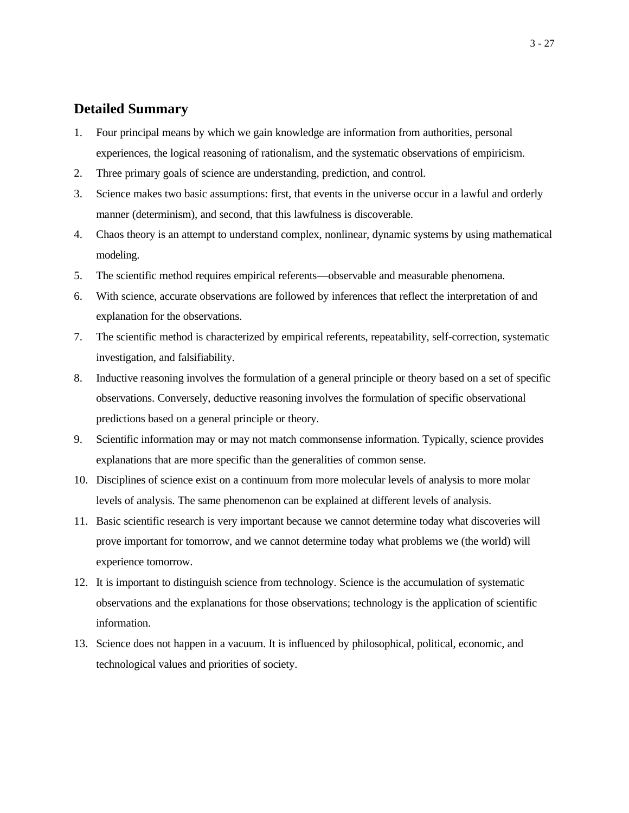# **Detailed Summary**

- 1. Four principal means by which we gain knowledge are information from authorities, personal experiences, the logical reasoning of rationalism, and the systematic observations of empiricism.
- 2. Three primary goals of science are understanding, prediction, and control.
- 3. Science makes two basic assumptions: first, that events in the universe occur in a lawful and orderly manner (determinism), and second, that this lawfulness is discoverable.
- 4. Chaos theory is an attempt to understand complex, nonlinear, dynamic systems by using mathematical modeling.
- 5. The scientific method requires empirical referents—observable and measurable phenomena.
- 6. With science, accurate observations are followed by inferences that reflect the interpretation of and explanation for the observations.
- 7. The scientific method is characterized by empirical referents, repeatability, self-correction, systematic investigation, and falsifiability.
- 8. Inductive reasoning involves the formulation of a general principle or theory based on a set of specific observations. Conversely, deductive reasoning involves the formulation of specific observational predictions based on a general principle or theory.
- 9. Scientific information may or may not match commonsense information. Typically, science provides explanations that are more specific than the generalities of common sense.
- 10. Disciplines of science exist on a continuum from more molecular levels of analysis to more molar levels of analysis. The same phenomenon can be explained at different levels of analysis.
- 11. Basic scientific research is very important because we cannot determine today what discoveries will prove important for tomorrow, and we cannot determine today what problems we (the world) will experience tomorrow.
- 12. It is important to distinguish science from technology. Science is the accumulation of systematic observations and the explanations for those observations; technology is the application of scientific information.
- 13. Science does not happen in a vacuum. It is influenced by philosophical, political, economic, and technological values and priorities of society.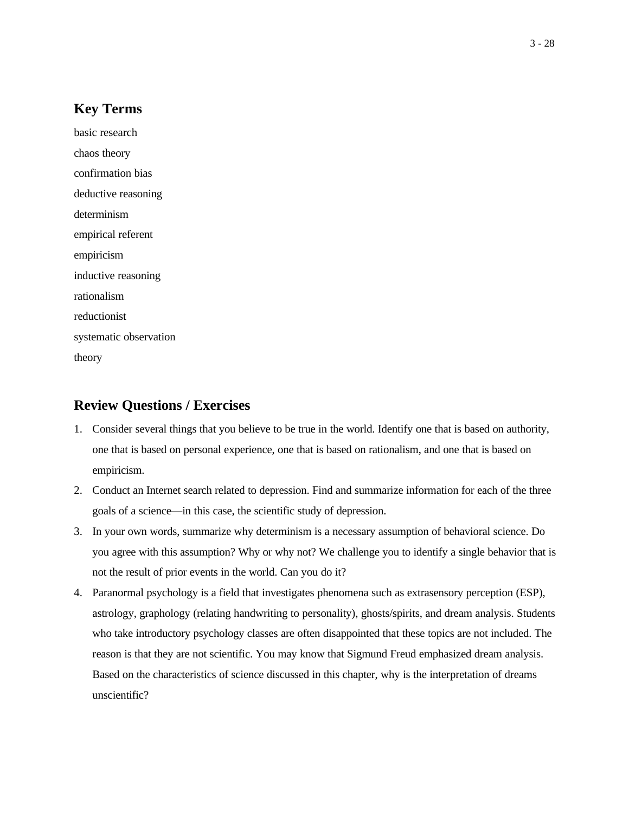# **Key Terms**

basic research chaos theory confirmation bias deductive reasoning determinism empirical referent empiricism inductive reasoning rationalism reductionist systematic observation theory

# **Review Questions / Exercises**

- 1. Consider several things that you believe to be true in the world. Identify one that is based on authority, one that is based on personal experience, one that is based on rationalism, and one that is based on empiricism.
- 2. Conduct an Internet search related to depression. Find and summarize information for each of the three goals of a science—in this case, the scientific study of depression.
- 3. In your own words, summarize why determinism is a necessary assumption of behavioral science. Do you agree with this assumption? Why or why not? We challenge you to identify a single behavior that is not the result of prior events in the world. Can you do it?
- 4. Paranormal psychology is a field that investigates phenomena such as extrasensory perception (ESP), astrology, graphology (relating handwriting to personality), ghosts/spirits, and dream analysis. Students who take introductory psychology classes are often disappointed that these topics are not included. The reason is that they are not scientific. You may know that Sigmund Freud emphasized dream analysis. Based on the characteristics of science discussed in this chapter, why is the interpretation of dreams unscientific?